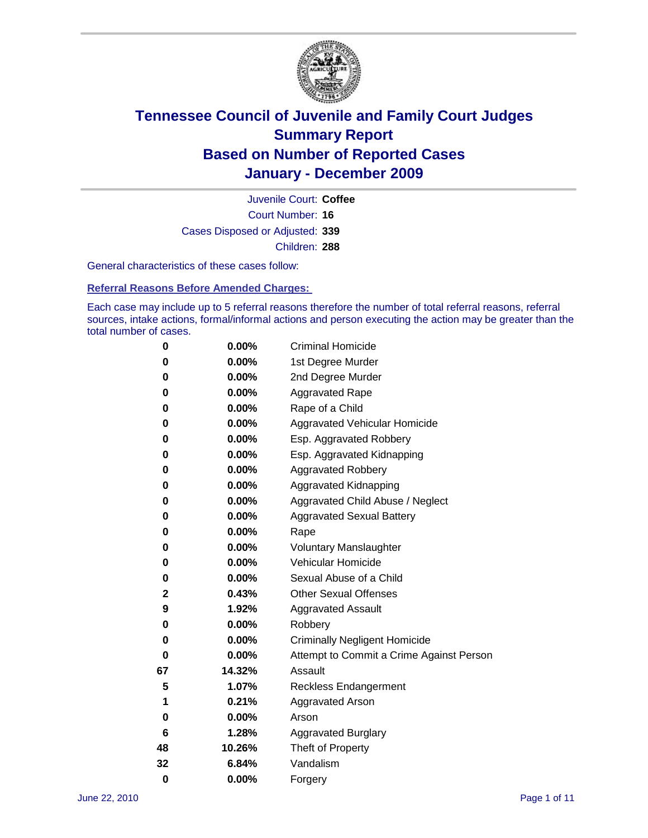

Court Number: **16** Juvenile Court: **Coffee** Cases Disposed or Adjusted: **339** Children: **288**

General characteristics of these cases follow:

**Referral Reasons Before Amended Charges:** 

Each case may include up to 5 referral reasons therefore the number of total referral reasons, referral sources, intake actions, formal/informal actions and person executing the action may be greater than the total number of cases.

| 0  | 0.00%    | <b>Criminal Homicide</b>                 |
|----|----------|------------------------------------------|
| 0  | 0.00%    | 1st Degree Murder                        |
| 0  | 0.00%    | 2nd Degree Murder                        |
| 0  | 0.00%    | <b>Aggravated Rape</b>                   |
| 0  | 0.00%    | Rape of a Child                          |
| 0  | 0.00%    | Aggravated Vehicular Homicide            |
| 0  | 0.00%    | Esp. Aggravated Robbery                  |
| 0  | 0.00%    | Esp. Aggravated Kidnapping               |
| 0  | 0.00%    | <b>Aggravated Robbery</b>                |
| 0  | 0.00%    | Aggravated Kidnapping                    |
| 0  | 0.00%    | Aggravated Child Abuse / Neglect         |
| 0  | $0.00\%$ | <b>Aggravated Sexual Battery</b>         |
| 0  | 0.00%    | Rape                                     |
| 0  | 0.00%    | <b>Voluntary Manslaughter</b>            |
| 0  | 0.00%    | Vehicular Homicide                       |
| 0  | 0.00%    | Sexual Abuse of a Child                  |
| 2  | 0.43%    | <b>Other Sexual Offenses</b>             |
| 9  | 1.92%    | <b>Aggravated Assault</b>                |
| 0  | 0.00%    | Robbery                                  |
| 0  | 0.00%    | <b>Criminally Negligent Homicide</b>     |
| 0  | 0.00%    | Attempt to Commit a Crime Against Person |
| 67 | 14.32%   | Assault                                  |
| 5  | 1.07%    | <b>Reckless Endangerment</b>             |
| 1  | 0.21%    | <b>Aggravated Arson</b>                  |
| 0  | 0.00%    | Arson                                    |
| 6  | 1.28%    | <b>Aggravated Burglary</b>               |
| 48 | 10.26%   | Theft of Property                        |
| 32 | 6.84%    | Vandalism                                |
| 0  | 0.00%    | Forgery                                  |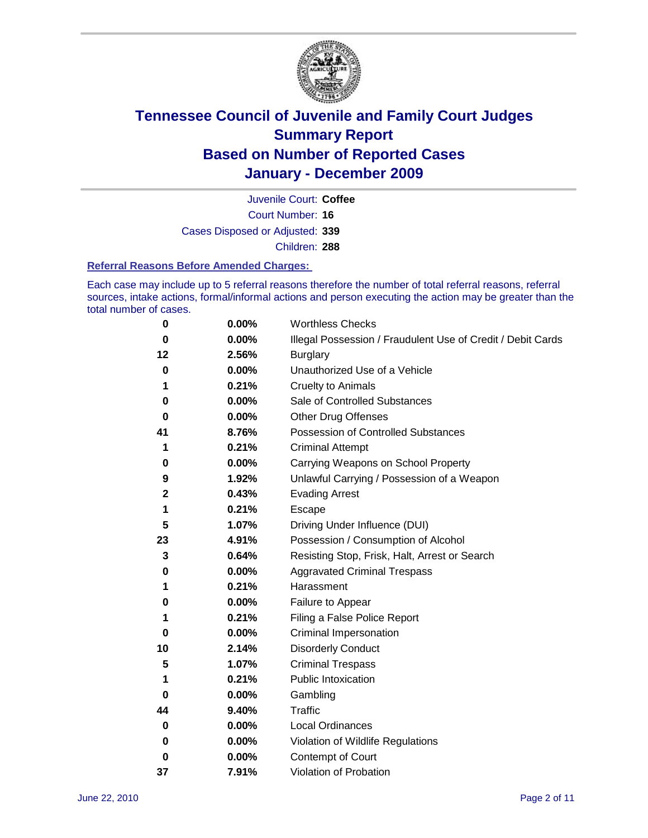

Court Number: **16** Juvenile Court: **Coffee** Cases Disposed or Adjusted: **339** Children: **288**

#### **Referral Reasons Before Amended Charges:**

Each case may include up to 5 referral reasons therefore the number of total referral reasons, referral sources, intake actions, formal/informal actions and person executing the action may be greater than the total number of cases.

| 0            | 0.00% | <b>Worthless Checks</b>                                     |
|--------------|-------|-------------------------------------------------------------|
| $\bf{0}$     | 0.00% | Illegal Possession / Fraudulent Use of Credit / Debit Cards |
| 12           | 2.56% | <b>Burglary</b>                                             |
| 0            | 0.00% | Unauthorized Use of a Vehicle                               |
| 1            | 0.21% | <b>Cruelty to Animals</b>                                   |
| 0            | 0.00% | Sale of Controlled Substances                               |
| 0            | 0.00% | <b>Other Drug Offenses</b>                                  |
| 41           | 8.76% | <b>Possession of Controlled Substances</b>                  |
| 1            | 0.21% | <b>Criminal Attempt</b>                                     |
| 0            | 0.00% | Carrying Weapons on School Property                         |
| 9            | 1.92% | Unlawful Carrying / Possession of a Weapon                  |
| $\mathbf{2}$ | 0.43% | <b>Evading Arrest</b>                                       |
| 1            | 0.21% | Escape                                                      |
| 5            | 1.07% | Driving Under Influence (DUI)                               |
| 23           | 4.91% | Possession / Consumption of Alcohol                         |
| 3            | 0.64% | Resisting Stop, Frisk, Halt, Arrest or Search               |
| 0            | 0.00% | <b>Aggravated Criminal Trespass</b>                         |
| 1            | 0.21% | Harassment                                                  |
| 0            | 0.00% | Failure to Appear                                           |
| 1            | 0.21% | Filing a False Police Report                                |
| 0            | 0.00% | Criminal Impersonation                                      |
| 10           | 2.14% | <b>Disorderly Conduct</b>                                   |
| 5            | 1.07% | <b>Criminal Trespass</b>                                    |
| 1            | 0.21% | <b>Public Intoxication</b>                                  |
| 0            | 0.00% | Gambling                                                    |
| 44           | 9.40% | <b>Traffic</b>                                              |
| 0            | 0.00% | <b>Local Ordinances</b>                                     |
| 0            | 0.00% | Violation of Wildlife Regulations                           |
| 0            | 0.00% | Contempt of Court                                           |
| 37           | 7.91% | Violation of Probation                                      |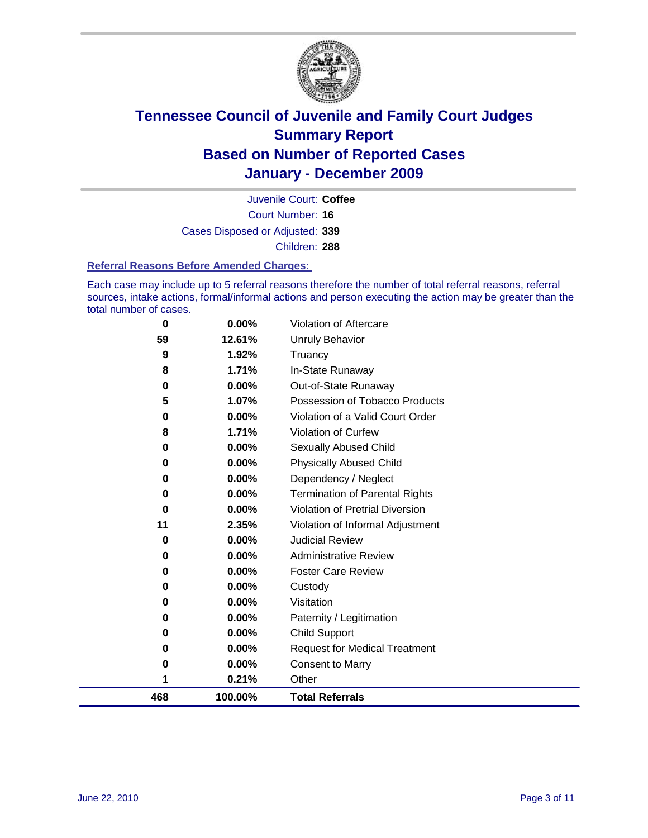

Court Number: **16** Juvenile Court: **Coffee** Cases Disposed or Adjusted: **339** Children: **288**

#### **Referral Reasons Before Amended Charges:**

Each case may include up to 5 referral reasons therefore the number of total referral reasons, referral sources, intake actions, formal/informal actions and person executing the action may be greater than the total number of cases.

| 0        | $0.00\%$ | Violation of Aftercare                 |
|----------|----------|----------------------------------------|
| 59       | 12.61%   | Unruly Behavior                        |
| 9        | 1.92%    | Truancy                                |
| 8        | 1.71%    | In-State Runaway                       |
| 0        | $0.00\%$ | Out-of-State Runaway                   |
| 5        | 1.07%    | Possession of Tobacco Products         |
| 0        | 0.00%    | Violation of a Valid Court Order       |
| 8        | 1.71%    | <b>Violation of Curfew</b>             |
| 0        | $0.00\%$ | Sexually Abused Child                  |
| 0        | $0.00\%$ | <b>Physically Abused Child</b>         |
| 0        | 0.00%    | Dependency / Neglect                   |
| $\bf{0}$ | $0.00\%$ | <b>Termination of Parental Rights</b>  |
| 0        | $0.00\%$ | <b>Violation of Pretrial Diversion</b> |
| 11       | 2.35%    | Violation of Informal Adjustment       |
| 0        | 0.00%    | <b>Judicial Review</b>                 |
| 0        | $0.00\%$ | <b>Administrative Review</b>           |
| 0        | $0.00\%$ | <b>Foster Care Review</b>              |
| 0        | $0.00\%$ | Custody                                |
| 0        | 0.00%    | Visitation                             |
| 0        | 0.00%    | Paternity / Legitimation               |
| 0        | 0.00%    | <b>Child Support</b>                   |
| 0        | 0.00%    | <b>Request for Medical Treatment</b>   |
| 0        | 0.00%    | <b>Consent to Marry</b>                |
| 1        | 0.21%    | Other                                  |
| 468      | 100.00%  | <b>Total Referrals</b>                 |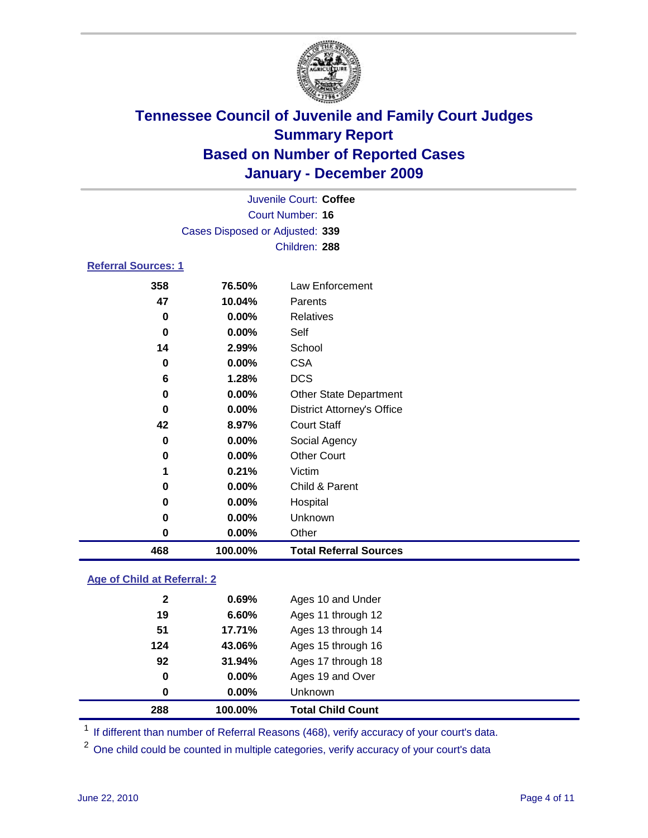

|                            |                                 | Juvenile Court: Coffee            |  |
|----------------------------|---------------------------------|-----------------------------------|--|
| Court Number: 16           |                                 |                                   |  |
|                            | Cases Disposed or Adjusted: 339 |                                   |  |
|                            |                                 | Children: 288                     |  |
| <b>Referral Sources: 1</b> |                                 |                                   |  |
| 358                        | 76.50%                          | Law Enforcement                   |  |
| 47                         | 10.04%                          | Parents                           |  |
| 0                          | 0.00%                           | <b>Relatives</b>                  |  |
| 0                          | 0.00%                           | Self                              |  |
| 14                         | 2.99%                           | School                            |  |
| 0                          | 0.00%                           | <b>CSA</b>                        |  |
| 6                          | 1.28%                           | <b>DCS</b>                        |  |
| 0                          | 0.00%                           | <b>Other State Department</b>     |  |
| 0                          | $0.00\%$                        | <b>District Attorney's Office</b> |  |
| 42                         | 8.97%                           | <b>Court Staff</b>                |  |
| 0                          | 0.00%                           | Social Agency                     |  |
| 0                          | 0.00%                           | <b>Other Court</b>                |  |
| 1                          | 0.21%                           | Victim                            |  |
| 0                          | 0.00%                           | Child & Parent                    |  |
| 0                          | 0.00%                           | Hospital                          |  |
| 0                          | 0.00%                           | Unknown                           |  |
| 0                          | 0.00%                           | Other                             |  |
| 468                        | 100.00%                         | <b>Total Referral Sources</b>     |  |

### **Age of Child at Referral: 2**

| 288          | 100.00%  | <b>Total Child Count</b> |
|--------------|----------|--------------------------|
| 0            | $0.00\%$ | <b>Unknown</b>           |
| 0            | 0.00%    | Ages 19 and Over         |
| 92           | 31.94%   | Ages 17 through 18       |
| 124          | 43.06%   | Ages 15 through 16       |
| 51           | 17.71%   | Ages 13 through 14       |
| 19           | 6.60%    | Ages 11 through 12       |
| $\mathbf{2}$ | 0.69%    | Ages 10 and Under        |
|              |          |                          |

<sup>1</sup> If different than number of Referral Reasons (468), verify accuracy of your court's data.

<sup>2</sup> One child could be counted in multiple categories, verify accuracy of your court's data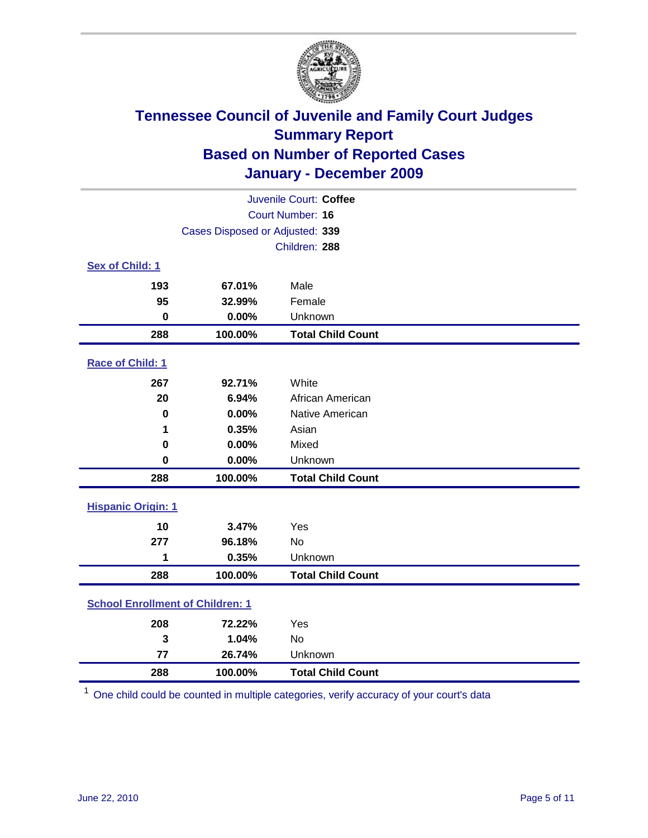

| Juvenile Court: Coffee                  |                                 |                          |  |  |
|-----------------------------------------|---------------------------------|--------------------------|--|--|
|                                         | <b>Court Number: 16</b>         |                          |  |  |
|                                         | Cases Disposed or Adjusted: 339 |                          |  |  |
|                                         |                                 | Children: 288            |  |  |
| Sex of Child: 1                         |                                 |                          |  |  |
| 193                                     | 67.01%                          | Male                     |  |  |
| 95                                      | 32.99%                          | Female                   |  |  |
| $\mathbf 0$                             | 0.00%                           | Unknown                  |  |  |
| 288                                     | 100.00%                         | <b>Total Child Count</b> |  |  |
| Race of Child: 1                        |                                 |                          |  |  |
| 267                                     | 92.71%                          | White                    |  |  |
| 20                                      | 6.94%                           | African American         |  |  |
| $\mathbf 0$                             | 0.00%                           | Native American          |  |  |
| 1                                       | 0.35%                           | Asian                    |  |  |
| 0                                       | 0.00%                           | Mixed                    |  |  |
| $\mathbf 0$                             | 0.00%                           | Unknown                  |  |  |
| 288                                     | 100.00%                         | <b>Total Child Count</b> |  |  |
| <b>Hispanic Origin: 1</b>               |                                 |                          |  |  |
| 10                                      | 3.47%                           | Yes                      |  |  |
| 277                                     | 96.18%                          | No                       |  |  |
| 1                                       | 0.35%                           | Unknown                  |  |  |
| 288                                     | 100.00%                         | <b>Total Child Count</b> |  |  |
| <b>School Enrollment of Children: 1</b> |                                 |                          |  |  |
| 208                                     | 72.22%                          | Yes                      |  |  |
| 3                                       | 1.04%                           | No                       |  |  |
| 77                                      | 26.74%                          | Unknown                  |  |  |
| 288                                     | 100.00%                         | <b>Total Child Count</b> |  |  |

One child could be counted in multiple categories, verify accuracy of your court's data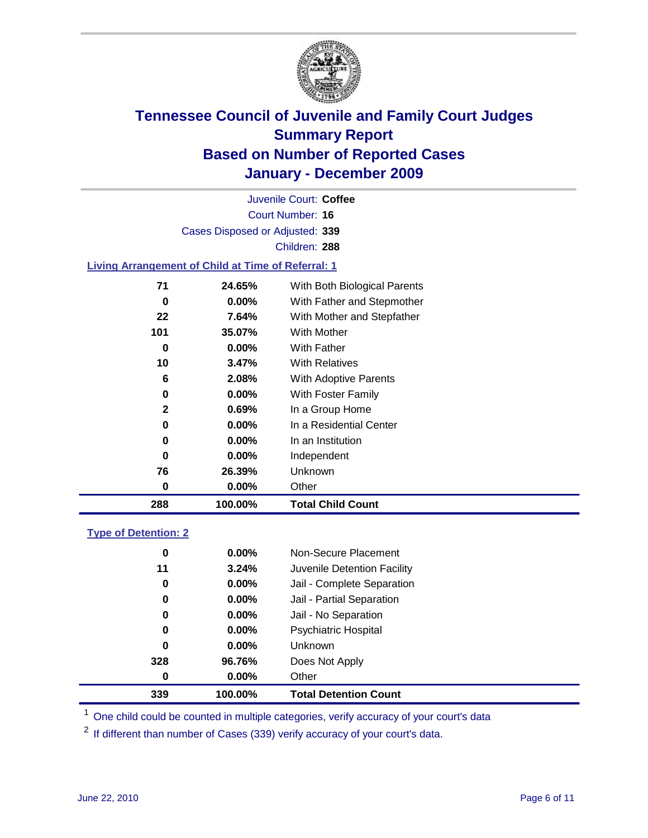

Court Number: **16** Juvenile Court: **Coffee** Cases Disposed or Adjusted: **339** Children: **288**

### **Living Arrangement of Child at Time of Referral: 1**

| 0            |          |                              |
|--------------|----------|------------------------------|
|              |          | Other                        |
| 76           | 26.39%   | Unknown                      |
| 0            | $0.00\%$ | Independent                  |
| 0            | 0.00%    | In an Institution            |
| 0            | $0.00\%$ | In a Residential Center      |
| $\mathbf{2}$ | 0.69%    | In a Group Home              |
| 0            | $0.00\%$ | With Foster Family           |
| 6            | 2.08%    | With Adoptive Parents        |
| 10           | $3.47\%$ | <b>With Relatives</b>        |
| 0            | $0.00\%$ | With Father                  |
| 101          | 35.07%   | With Mother                  |
| 22           | 7.64%    | With Mother and Stepfather   |
| 0            | $0.00\%$ | With Father and Stepmother   |
| 71           | 24.65%   | With Both Biological Parents |
|              |          | 0.00%                        |

### **Type of Detention: 2**

| 339 | 100.00%  | <b>Total Detention Count</b> |  |
|-----|----------|------------------------------|--|
| 0   | 0.00%    | Other                        |  |
| 328 | 96.76%   | Does Not Apply               |  |
| 0   | $0.00\%$ | Unknown                      |  |
| 0   | $0.00\%$ | Psychiatric Hospital         |  |
| 0   | 0.00%    | Jail - No Separation         |  |
| 0   | $0.00\%$ | Jail - Partial Separation    |  |
| 0   | $0.00\%$ | Jail - Complete Separation   |  |
| 11  | 3.24%    | Juvenile Detention Facility  |  |
| 0   | $0.00\%$ | Non-Secure Placement         |  |
|     |          |                              |  |

<sup>1</sup> One child could be counted in multiple categories, verify accuracy of your court's data

<sup>2</sup> If different than number of Cases (339) verify accuracy of your court's data.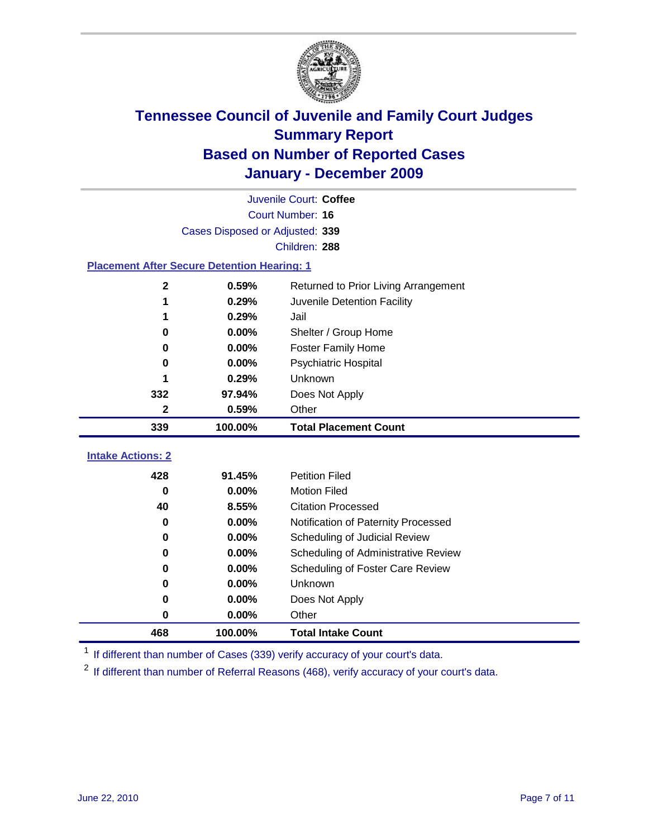

|                                                    | Juvenile Court: Coffee          |                                      |  |  |
|----------------------------------------------------|---------------------------------|--------------------------------------|--|--|
|                                                    | Court Number: 16                |                                      |  |  |
|                                                    | Cases Disposed or Adjusted: 339 |                                      |  |  |
|                                                    |                                 | Children: 288                        |  |  |
| <b>Placement After Secure Detention Hearing: 1</b> |                                 |                                      |  |  |
| 2                                                  | 0.59%                           | Returned to Prior Living Arrangement |  |  |
| 1                                                  | 0.29%                           | Juvenile Detention Facility          |  |  |
| 1                                                  | 0.29%                           | Jail                                 |  |  |
| 0                                                  | 0.00%                           | Shelter / Group Home                 |  |  |
| 0                                                  | 0.00%                           | Foster Family Home                   |  |  |
| 0                                                  | 0.00%                           | Psychiatric Hospital                 |  |  |
| 1                                                  | 0.29%                           | Unknown                              |  |  |
| 332                                                | 97.94%                          | Does Not Apply                       |  |  |
| 2                                                  | 0.59%                           | Other                                |  |  |
| 339                                                | 100.00%                         | <b>Total Placement Count</b>         |  |  |
| <b>Intake Actions: 2</b>                           |                                 |                                      |  |  |
|                                                    |                                 |                                      |  |  |
| 428                                                | 91.45%                          | <b>Petition Filed</b>                |  |  |
| $\bf{0}$                                           | 0.00%                           | <b>Motion Filed</b>                  |  |  |
| 40                                                 | 8.55%                           | <b>Citation Processed</b>            |  |  |
| 0                                                  | 0.00%                           | Notification of Paternity Processed  |  |  |
| $\bf{0}$                                           | 0.00%                           | Scheduling of Judicial Review        |  |  |
| 0                                                  | 0.00%                           | Scheduling of Administrative Review  |  |  |
| 0                                                  | 0.00%                           | Scheduling of Foster Care Review     |  |  |
| 0                                                  | 0.00%                           | Unknown                              |  |  |
| 0                                                  | 0.00%                           | Does Not Apply                       |  |  |
| 0                                                  | 0.00%                           | Other                                |  |  |
| 468                                                | 100.00%                         | <b>Total Intake Count</b>            |  |  |

<sup>1</sup> If different than number of Cases (339) verify accuracy of your court's data.

<sup>2</sup> If different than number of Referral Reasons (468), verify accuracy of your court's data.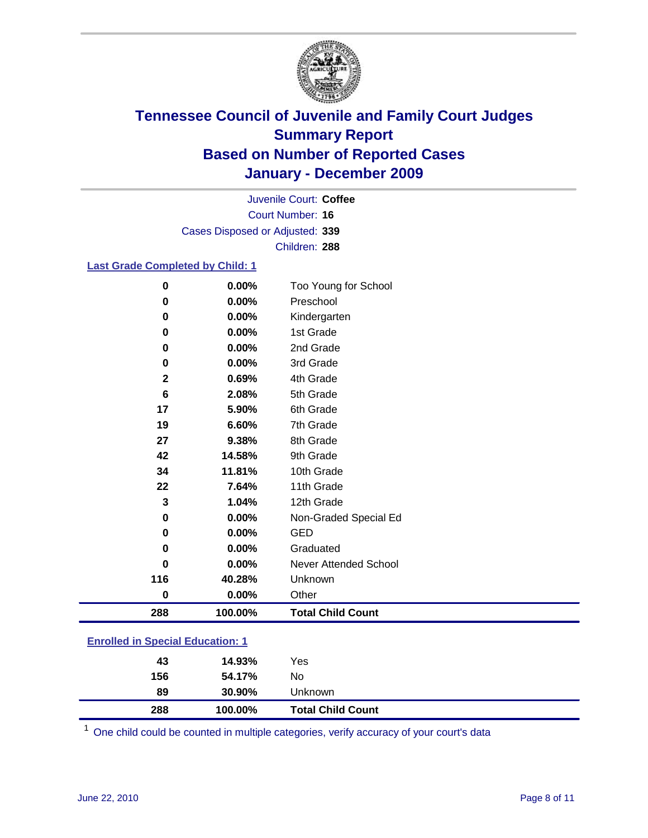

Court Number: **16** Juvenile Court: **Coffee** Cases Disposed or Adjusted: **339** Children: **288**

### **Last Grade Completed by Child: 1**

| 0                                       | 0.00%    | Too Young for School         |  |
|-----------------------------------------|----------|------------------------------|--|
| 0                                       | 0.00%    | Preschool                    |  |
| 0                                       | 0.00%    | Kindergarten                 |  |
| 0                                       | 0.00%    | 1st Grade                    |  |
| 0                                       | 0.00%    | 2nd Grade                    |  |
| 0                                       | $0.00\%$ | 3rd Grade                    |  |
| 2                                       | 0.69%    | 4th Grade                    |  |
| 6                                       | 2.08%    | 5th Grade                    |  |
| 17                                      | 5.90%    | 6th Grade                    |  |
| 19                                      | 6.60%    | 7th Grade                    |  |
| 27                                      | 9.38%    | 8th Grade                    |  |
| 42                                      | 14.58%   | 9th Grade                    |  |
| 34                                      | 11.81%   | 10th Grade                   |  |
| 22                                      | 7.64%    | 11th Grade                   |  |
| 3                                       | 1.04%    | 12th Grade                   |  |
| 0                                       | 0.00%    | Non-Graded Special Ed        |  |
| $\pmb{0}$                               | 0.00%    | <b>GED</b>                   |  |
| 0                                       | 0.00%    | Graduated                    |  |
| $\bf{0}$                                | 0.00%    | <b>Never Attended School</b> |  |
| 116                                     | 40.28%   | Unknown                      |  |
| 0                                       | 0.00%    | Other                        |  |
| 288                                     | 100.00%  | <b>Total Child Count</b>     |  |
| <b>Enrolled in Special Education: 1</b> |          |                              |  |

| 288                                       | 100.00% | <b>Total Child Count</b> |  |  |
|-------------------------------------------|---------|--------------------------|--|--|
| 89                                        | 30.90%  | Unknown                  |  |  |
| 156                                       | 54.17%  | No                       |  |  |
| 43                                        | 14.93%  | Yes                      |  |  |
| <u>Einvilled in Opcolar Eugeneinen. I</u> |         |                          |  |  |

One child could be counted in multiple categories, verify accuracy of your court's data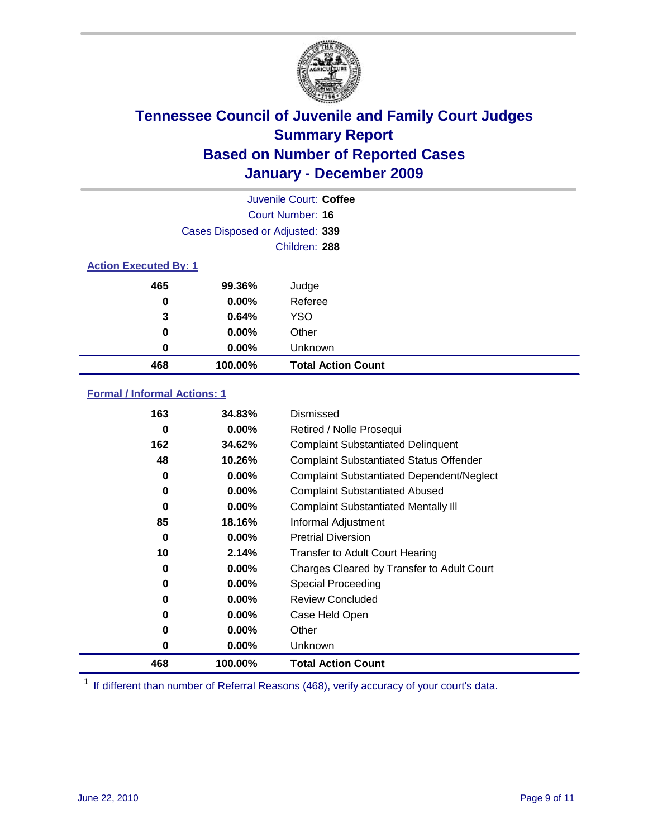

|                              | Juvenile Court: Coffee          |                           |  |  |
|------------------------------|---------------------------------|---------------------------|--|--|
|                              | Court Number: 16                |                           |  |  |
|                              | Cases Disposed or Adjusted: 339 |                           |  |  |
|                              |                                 | Children: 288             |  |  |
| <b>Action Executed By: 1</b> |                                 |                           |  |  |
| 465                          | 99.36%                          | Judge                     |  |  |
| 0                            | $0.00\%$                        | Referee                   |  |  |
| 3                            | 0.64%                           | <b>YSO</b>                |  |  |
| 0                            | 0.00%                           | Other                     |  |  |
| 0                            | 0.00%                           | Unknown                   |  |  |
| 468                          | 100.00%                         | <b>Total Action Count</b> |  |  |

### **Formal / Informal Actions: 1**

| 163 | 34.83%   | Dismissed                                        |
|-----|----------|--------------------------------------------------|
| 0   | $0.00\%$ | Retired / Nolle Prosequi                         |
| 162 | 34.62%   | <b>Complaint Substantiated Delinquent</b>        |
| 48  | 10.26%   | <b>Complaint Substantiated Status Offender</b>   |
| 0   | $0.00\%$ | <b>Complaint Substantiated Dependent/Neglect</b> |
| 0   | $0.00\%$ | <b>Complaint Substantiated Abused</b>            |
| 0   | $0.00\%$ | <b>Complaint Substantiated Mentally III</b>      |
| 85  | 18.16%   | Informal Adjustment                              |
| 0   | $0.00\%$ | <b>Pretrial Diversion</b>                        |
| 10  | 2.14%    | <b>Transfer to Adult Court Hearing</b>           |
| 0   | $0.00\%$ | Charges Cleared by Transfer to Adult Court       |
| 0   | $0.00\%$ | Special Proceeding                               |
| 0   | $0.00\%$ | <b>Review Concluded</b>                          |
| 0   | $0.00\%$ | Case Held Open                                   |
| 0   | $0.00\%$ | Other                                            |
| 0   | $0.00\%$ | <b>Unknown</b>                                   |
| 468 | 100.00%  | <b>Total Action Count</b>                        |

<sup>1</sup> If different than number of Referral Reasons (468), verify accuracy of your court's data.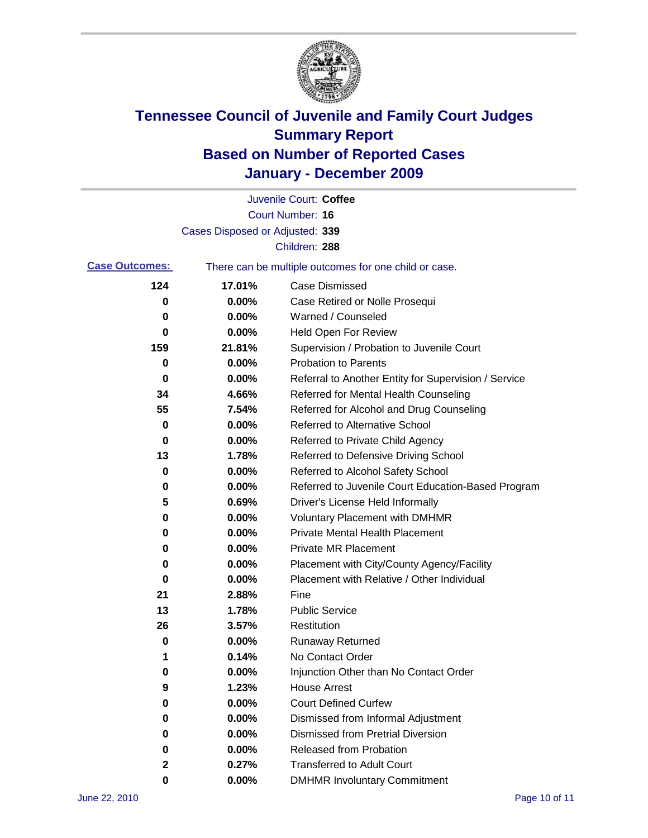

|                       |                                 | Juvenile Court: Coffee                                |
|-----------------------|---------------------------------|-------------------------------------------------------|
|                       |                                 | <b>Court Number: 16</b>                               |
|                       | Cases Disposed or Adjusted: 339 |                                                       |
|                       |                                 | Children: 288                                         |
| <b>Case Outcomes:</b> |                                 | There can be multiple outcomes for one child or case. |
| 124                   | 17.01%                          | <b>Case Dismissed</b>                                 |
| 0                     | 0.00%                           | Case Retired or Nolle Prosequi                        |
| 0                     | 0.00%                           | Warned / Counseled                                    |
| 0                     | 0.00%                           | Held Open For Review                                  |
| 159                   | 21.81%                          | Supervision / Probation to Juvenile Court             |
| 0                     | 0.00%                           | <b>Probation to Parents</b>                           |
| 0                     | 0.00%                           | Referral to Another Entity for Supervision / Service  |
| 34                    | 4.66%                           | Referred for Mental Health Counseling                 |
| 55                    | 7.54%                           | Referred for Alcohol and Drug Counseling              |
| 0                     | 0.00%                           | <b>Referred to Alternative School</b>                 |
| 0                     | 0.00%                           | Referred to Private Child Agency                      |
| 13                    | 1.78%                           | Referred to Defensive Driving School                  |
| 0                     | 0.00%                           | Referred to Alcohol Safety School                     |
| 0                     | 0.00%                           | Referred to Juvenile Court Education-Based Program    |
| 5                     | 0.69%                           | Driver's License Held Informally                      |
| 0                     | 0.00%                           | <b>Voluntary Placement with DMHMR</b>                 |
| 0                     | 0.00%                           | <b>Private Mental Health Placement</b>                |
| 0                     | 0.00%                           | <b>Private MR Placement</b>                           |
| 0                     | 0.00%                           | Placement with City/County Agency/Facility            |
| 0                     | 0.00%                           | Placement with Relative / Other Individual            |
| 21                    | 2.88%                           | Fine                                                  |
| 13                    | 1.78%                           | <b>Public Service</b>                                 |
| 26                    | 3.57%                           | Restitution                                           |
| 0                     | 0.00%                           | <b>Runaway Returned</b>                               |
| 1                     | 0.14%                           | No Contact Order                                      |
| 0                     | 0.00%                           | Injunction Other than No Contact Order                |
| 9                     | 1.23%                           | <b>House Arrest</b>                                   |
| 0                     | 0.00%                           | <b>Court Defined Curfew</b>                           |
| 0                     | $0.00\%$                        | Dismissed from Informal Adjustment                    |
| 0                     | $0.00\%$                        | <b>Dismissed from Pretrial Diversion</b>              |
| 0                     | 0.00%                           | Released from Probation                               |
| 2                     | 0.27%                           | <b>Transferred to Adult Court</b>                     |
| 0                     | $0.00\%$                        | <b>DMHMR Involuntary Commitment</b>                   |